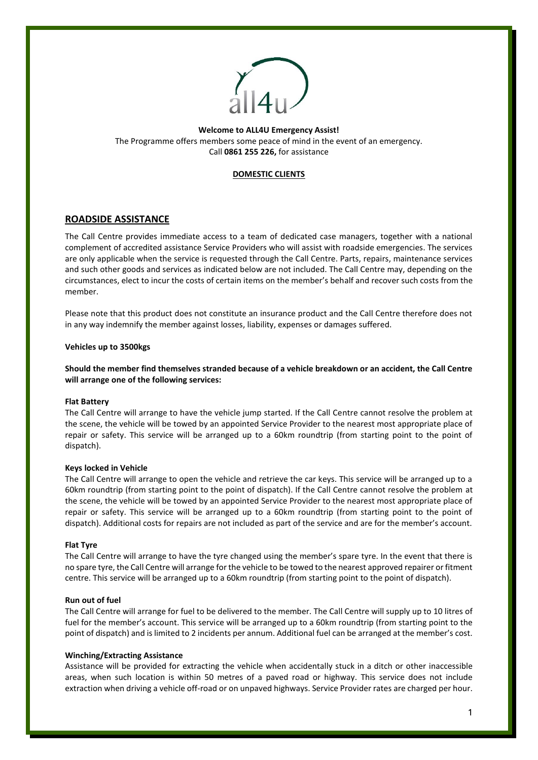

**Welcome to ALL4U Emergency Assist!** The Programme offers members some peace of mind in the event of an emergency. Call **0861 255 226,** for assistance

## **DOMESTIC CLIENTS**

# **ROADSIDE ASSISTANCE**

The Call Centre provides immediate access to a team of dedicated case managers, together with a national complement of accredited assistance Service Providers who will assist with roadside emergencies. The services are only applicable when the service is requested through the Call Centre. Parts, repairs, maintenance services and such other goods and services as indicated below are not included. The Call Centre may, depending on the circumstances, elect to incur the costs of certain items on the member's behalf and recover such costs from the member.

Please note that this product does not constitute an insurance product and the Call Centre therefore does not in any way indemnify the member against losses, liability, expenses or damages suffered.

### **Vehicles up to 3500kgs**

**Should the member find themselves stranded because of a vehicle breakdown or an accident, the Call Centre will arrange one of the following services:**

#### **Flat Battery**

The Call Centre will arrange to have the vehicle jump started. If the Call Centre cannot resolve the problem at the scene, the vehicle will be towed by an appointed Service Provider to the nearest most appropriate place of repair or safety. This service will be arranged up to a 60km roundtrip (from starting point to the point of dispatch).

#### **Keys locked in Vehicle**

The Call Centre will arrange to open the vehicle and retrieve the car keys. This service will be arranged up to a 60km roundtrip (from starting point to the point of dispatch). If the Call Centre cannot resolve the problem at the scene, the vehicle will be towed by an appointed Service Provider to the nearest most appropriate place of repair or safety. This service will be arranged up to a 60km roundtrip (from starting point to the point of dispatch). Additional costs for repairs are not included as part of the service and are for the member's account.

#### **Flat Tyre**

The Call Centre will arrange to have the tyre changed using the member's spare tyre. In the event that there is no spare tyre, the Call Centre will arrange for the vehicle to be towed to the nearest approved repairer or fitment centre. This service will be arranged up to a 60km roundtrip (from starting point to the point of dispatch).

### **Run out of fuel**

The Call Centre will arrange for fuel to be delivered to the member. The Call Centre will supply up to 10 litres of fuel for the member's account. This service will be arranged up to a 60km roundtrip (from starting point to the point of dispatch) and is limited to 2 incidents per annum. Additional fuel can be arranged at the member's cost.

### **Winching/Extracting Assistance**

Assistance will be provided for extracting the vehicle when accidentally stuck in a ditch or other inaccessible areas, when such location is within 50 metres of a paved road or highway. This service does not include extraction when driving a vehicle off-road or on unpaved highways. Service Provider rates are charged per hour.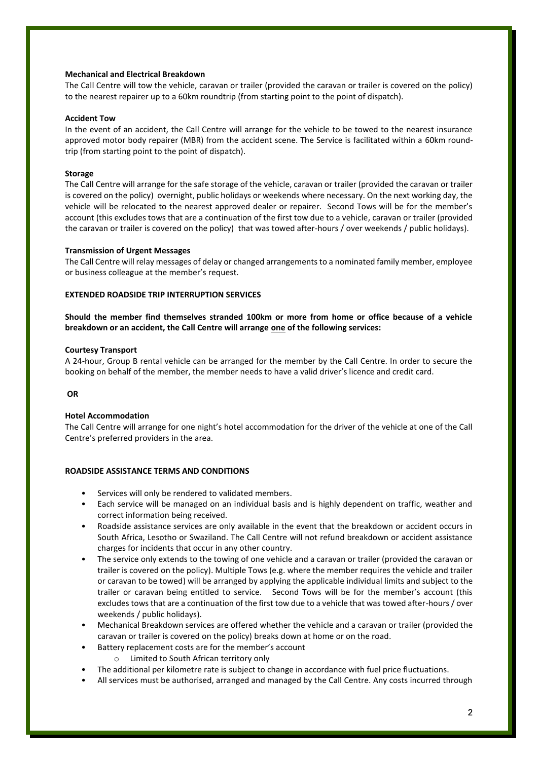### **Mechanical and Electrical Breakdown**

The Call Centre will tow the vehicle, caravan or trailer (provided the caravan or trailer is covered on the policy) to the nearest repairer up to a 60km roundtrip (from starting point to the point of dispatch).

### **Accident Tow**

In the event of an accident, the Call Centre will arrange for the vehicle to be towed to the nearest insurance approved motor body repairer (MBR) from the accident scene. The Service is facilitated within a 60km roundtrip (from starting point to the point of dispatch).

### **Storage**

The Call Centre will arrange for the safe storage of the vehicle, caravan or trailer (provided the caravan or trailer is covered on the policy) overnight, public holidays or weekends where necessary. On the next working day, the vehicle will be relocated to the nearest approved dealer or repairer. Second Tows will be for the member's account (this excludes tows that are a continuation of the first tow due to a vehicle, caravan or trailer (provided the caravan or trailer is covered on the policy) that was towed after-hours / over weekends / public holidays).

### **Transmission of Urgent Messages**

The Call Centre will relay messages of delay or changed arrangements to a nominated family member, employee or business colleague at the member's request.

### **EXTENDED ROADSIDE TRIP INTERRUPTION SERVICES**

**Should the member find themselves stranded 100km or more from home or office because of a vehicle breakdown or an accident, the Call Centre will arrange one of the following services:**

### **Courtesy Transport**

A 24-hour, Group B rental vehicle can be arranged for the member by the Call Centre. In order to secure the booking on behalf of the member, the member needs to have a valid driver's licence and credit card.

**OR**

### **Hotel Accommodation**

The Call Centre will arrange for one night's hotel accommodation for the driver of the vehicle at one of the Call Centre's preferred providers in the area.

### **ROADSIDE ASSISTANCE TERMS AND CONDITIONS**

- Services will only be rendered to validated members.
- Each service will be managed on an individual basis and is highly dependent on traffic, weather and correct information being received.
- Roadside assistance services are only available in the event that the breakdown or accident occurs in South Africa, Lesotho or Swaziland. The Call Centre will not refund breakdown or accident assistance charges for incidents that occur in any other country.
- The service only extends to the towing of one vehicle and a caravan or trailer (provided the caravan or trailer is covered on the policy). Multiple Tows (e.g. where the member requires the vehicle and trailer or caravan to be towed) will be arranged by applying the applicable individual limits and subject to the trailer or caravan being entitled to service. Second Tows will be for the member's account (this excludes tows that are a continuation of the first tow due to a vehicle that was towed after-hours / over weekends / public holidays).
- Mechanical Breakdown services are offered whether the vehicle and a caravan or trailer (provided the caravan or trailer is covered on the policy) breaks down at home or on the road.
	- Battery replacement costs are for the member's account
		- o Limited to South African territory only
- The additional per kilometre rate is subject to change in accordance with fuel price fluctuations.
- All services must be authorised, arranged and managed by the Call Centre. Any costs incurred through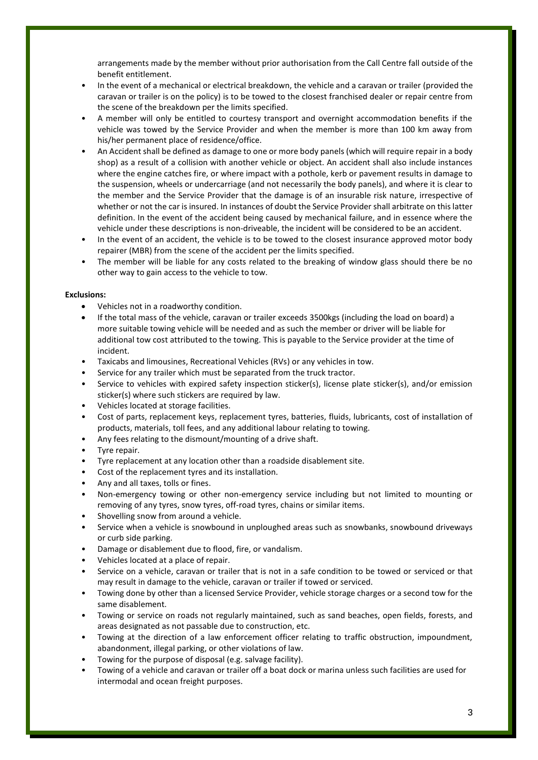arrangements made by the member without prior authorisation from the Call Centre fall outside of the benefit entitlement.

- In the event of a mechanical or electrical breakdown, the vehicle and a caravan or trailer (provided the caravan or trailer is on the policy) is to be towed to the closest franchised dealer or repair centre from the scene of the breakdown per the limits specified.
- A member will only be entitled to courtesy transport and overnight accommodation benefits if the vehicle was towed by the Service Provider and when the member is more than 100 km away from his/her permanent place of residence/office.
- An Accident shall be defined as damage to one or more body panels (which will require repair in a body shop) as a result of a collision with another vehicle or object. An accident shall also include instances where the engine catches fire, or where impact with a pothole, kerb or pavement results in damage to the suspension, wheels or undercarriage (and not necessarily the body panels), and where it is clear to the member and the Service Provider that the damage is of an insurable risk nature, irrespective of whether or not the car is insured. In instances of doubt the Service Provider shall arbitrate on this latter definition. In the event of the accident being caused by mechanical failure, and in essence where the vehicle under these descriptions is non-driveable, the incident will be considered to be an accident.
- In the event of an accident, the vehicle is to be towed to the closest insurance approved motor body repairer (MBR) from the scene of the accident per the limits specified.
- The member will be liable for any costs related to the breaking of window glass should there be no other way to gain access to the vehicle to tow.

### **Exclusions:**

- Vehicles not in a roadworthy condition.
- If the total mass of the vehicle, caravan or trailer exceeds 3500kgs (including the load on board) a more suitable towing vehicle will be needed and as such the member or driver will be liable for additional tow cost attributed to the towing. This is payable to the Service provider at the time of incident.
- Taxicabs and limousines, Recreational Vehicles (RVs) or any vehicles in tow.
- Service for any trailer which must be separated from the truck tractor.
- Service to vehicles with expired safety inspection sticker(s), license plate sticker(s), and/or emission sticker(s) where such stickers are required by law.
- Vehicles located at storage facilities.
- Cost of parts, replacement keys, replacement tyres, batteries, fluids, lubricants, cost of installation of products, materials, toll fees, and any additional labour relating to towing.
- Any fees relating to the dismount/mounting of a drive shaft.
- Tyre repair.
- Tyre replacement at any location other than a roadside disablement site.
- Cost of the replacement tyres and its installation.
- Any and all taxes, tolls or fines.
- Non-emergency towing or other non-emergency service including but not limited to mounting or removing of any tyres, snow tyres, off-road tyres, chains or similar items.
- Shovelling snow from around a vehicle.
- Service when a vehicle is snowbound in unploughed areas such as snowbanks, snowbound driveways or curb side parking.
- Damage or disablement due to flood, fire, or vandalism.
- Vehicles located at a place of repair.
- Service on a vehicle, caravan or trailer that is not in a safe condition to be towed or serviced or that may result in damage to the vehicle, caravan or trailer if towed or serviced.
- Towing done by other than a licensed Service Provider, vehicle storage charges or a second tow for the same disablement.
- Towing or service on roads not regularly maintained, such as sand beaches, open fields, forests, and areas designated as not passable due to construction, etc.
- Towing at the direction of a law enforcement officer relating to traffic obstruction, impoundment, abandonment, illegal parking, or other violations of law.
- Towing for the purpose of disposal (e.g. salvage facility).
- Towing of a vehicle and caravan or trailer off a boat dock or marina unless such facilities are used for intermodal and ocean freight purposes.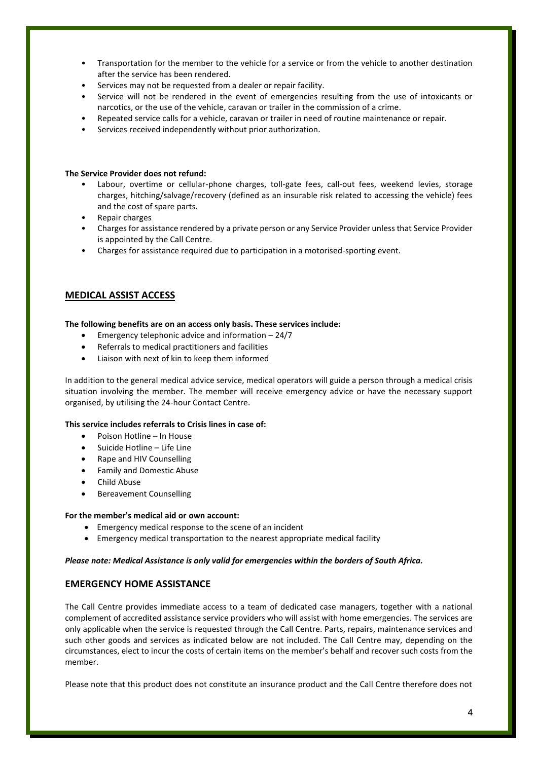- Transportation for the member to the vehicle for a service or from the vehicle to another destination after the service has been rendered.
- Services may not be requested from a dealer or repair facility.
- Service will not be rendered in the event of emergencies resulting from the use of intoxicants or narcotics, or the use of the vehicle, caravan or trailer in the commission of a crime.
- Repeated service calls for a vehicle, caravan or trailer in need of routine maintenance or repair.
- Services received independently without prior authorization.

## **The Service Provider does not refund:**

- Labour, overtime or cellular-phone charges, toll-gate fees, call-out fees, weekend levies, storage charges, hitching/salvage/recovery (defined as an insurable risk related to accessing the vehicle) fees and the cost of spare parts.
- Repair charges
- Charges for assistance rendered by a private person or any Service Provider unless that Service Provider is appointed by the Call Centre.
- Charges for assistance required due to participation in a motorised-sporting event.

## **MEDICAL ASSIST ACCESS**

### **The following benefits are on an access only basis. These services include:**

- Emergency telephonic advice and information  $-24/7$
- Referrals to medical practitioners and facilities
- Liaison with next of kin to keep them informed

In addition to the general medical advice service, medical operators will guide a person through a medical crisis situation involving the member. The member will receive emergency advice or have the necessary support organised, by utilising the 24-hour Contact Centre.

### **This service includes referrals to Crisis lines in case of:**

- Poison Hotline In House
- Suicide Hotline Life Line
- Rape and HIV Counselling
- Family and Domestic Abuse
- Child Abuse
- Bereavement Counselling

### **For the member's medical aid or own account:**

- Emergency medical response to the scene of an incident
- Emergency medical transportation to the nearest appropriate medical facility

### *Please note: Medical Assistance is only valid for emergencies within the borders of South Africa.*

## **EMERGENCY HOME ASSISTANCE**

The Call Centre provides immediate access to a team of dedicated case managers, together with a national complement of accredited assistance service providers who will assist with home emergencies. The services are only applicable when the service is requested through the Call Centre. Parts, repairs, maintenance services and such other goods and services as indicated below are not included. The Call Centre may, depending on the circumstances, elect to incur the costs of certain items on the member's behalf and recover such costs from the member.

Please note that this product does not constitute an insurance product and the Call Centre therefore does not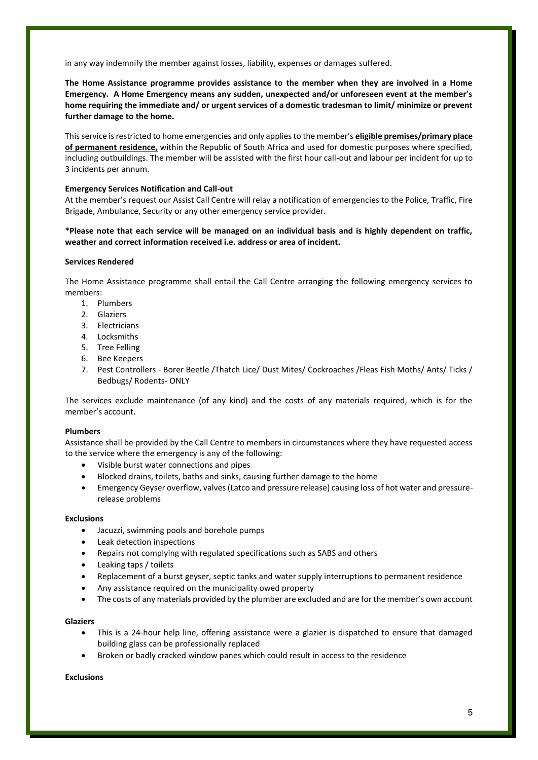in any way indemnify the member against losses, liability, expenses or damages suffered.

**The Home Assistance programme provides assistance to the member when they are involved in a Home Emergency. A Home Emergency means any sudden, unexpected and/or unforeseen event at the member's home requiring the immediate and/ or urgent services of a domestic tradesman to limit/ minimize or prevent further damage to the home.** 

This service is restricted to home emergencies and only applies to the member's **eligible premises/primary place of permanent residence,** within the Republic of South Africa and used for domestic purposes where specified, including outbuildings. The member will be assisted with the first hour call-out and labour per incident for up to 3 incidents per annum.

## **Emergency Services Notification and Call-out**

At the member's request our Assist Call Centre will relay a notification of emergencies to the Police, Traffic, Fire Brigade, Ambulance, Security or any other emergency service provider.

**\*Please note that each service will be managed on an individual basis and is highly dependent on traffic, weather and correct information received i.e. address or area of incident.** 

### **Services Rendered**

The Home Assistance programme shall entail the Call Centre arranging the following emergency services to members:

- 1. Plumbers
- 2. Glaziers
- 3. Electricians
- 4. Locksmiths
- 5. Tree Felling
- 6. Bee Keepers
- 7. Pest Controllers Borer Beetle /Thatch Lice/ Dust Mites/ Cockroaches /Fleas Fish Moths/ Ants/ Ticks / Bedbugs/ Rodents- ONLY

The services exclude maintenance (of any kind) and the costs of any materials required, which is for the member's account.

### **Plumbers**

Assistance shall be provided by the Call Centre to members in circumstances where they have requested access to the service where the emergency is any of the following:

- Visible burst water connections and pipes
- Blocked drains, toilets, baths and sinks, causing further damage to the home
- Emergency Geyser overflow, valves (Latco and pressure release) causing loss of hot water and pressurerelease problems

#### **Exclusions**

- Jacuzzi, swimming pools and borehole pumps
- Leak detection inspections
- Repairs not complying with regulated specifications such as SABS and others
- Leaking taps / toilets
- Replacement of a burst geyser, septic tanks and water supply interruptions to permanent residence
- Any assistance required on the municipality owed property
- The costs of any materials provided by the plumber are excluded and are for the member's own account

#### **Glaziers**

- This is a 24-hour help line, offering assistance were a glazier is dispatched to ensure that damaged building glass can be professionally replaced
- Broken or badly cracked window panes which could result in access to the residence

**Exclusions**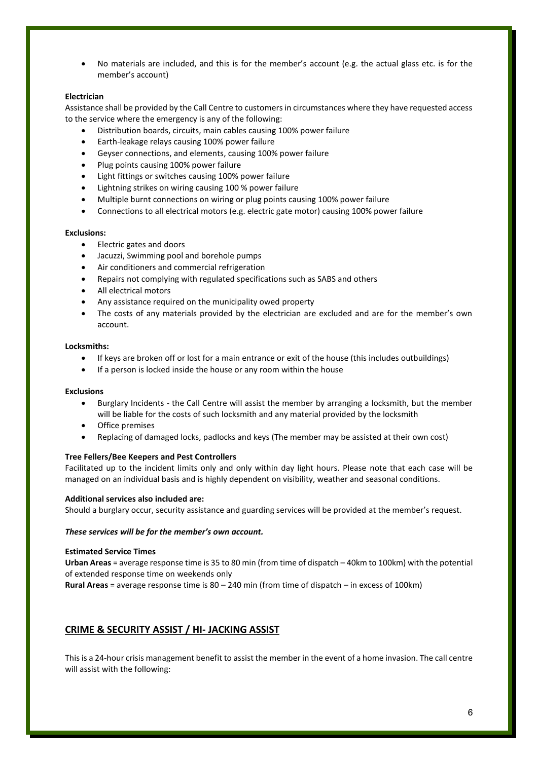• No materials are included, and this is for the member's account (e.g. the actual glass etc. is for the member's account)

### **Electrician**

Assistance shall be provided by the Call Centre to customers in circumstances where they have requested access to the service where the emergency is any of the following:

- Distribution boards, circuits, main cables causing 100% power failure
- Earth-leakage relays causing 100% power failure
- Geyser connections, and elements, causing 100% power failure
- Plug points causing 100% power failure
- Light fittings or switches causing 100% power failure
- Lightning strikes on wiring causing 100 % power failure
- Multiple burnt connections on wiring or plug points causing 100% power failure
- Connections to all electrical motors (e.g. electric gate motor) causing 100% power failure

#### **Exclusions:**

- Electric gates and doors
- Jacuzzi, Swimming pool and borehole pumps
- Air conditioners and commercial refrigeration
- Repairs not complying with regulated specifications such as SABS and others
- All electrical motors
- Any assistance required on the municipality owed property
- The costs of any materials provided by the electrician are excluded and are for the member's own account.

#### **Locksmiths:**

- If keys are broken off or lost for a main entrance or exit of the house (this includes outbuildings)
- If a person is locked inside the house or any room within the house

#### **Exclusions**

- Burglary Incidents the Call Centre will assist the member by arranging a locksmith, but the member will be liable for the costs of such locksmith and any material provided by the locksmith
- Office premises
- Replacing of damaged locks, padlocks and keys (The member may be assisted at their own cost)

#### **Tree Fellers/Bee Keepers and Pest Controllers**

Facilitated up to the incident limits only and only within day light hours. Please note that each case will be managed on an individual basis and is highly dependent on visibility, weather and seasonal conditions.

#### **Additional services also included are:**

Should a burglary occur, security assistance and guarding services will be provided at the member's request.

### *These services will be for the member's own account.*

#### **Estimated Service Times**

**Urban Areas** = average response time is 35 to 80 min (from time of dispatch – 40km to 100km) with the potential of extended response time on weekends only

**Rural Areas** = average response time is 80 – 240 min (from time of dispatch – in excess of 100km)

## **CRIME & SECURITY ASSIST / HI- JACKING ASSIST**

This is a 24-hour crisis management benefit to assist the member in the event of a home invasion. The call centre will assist with the following: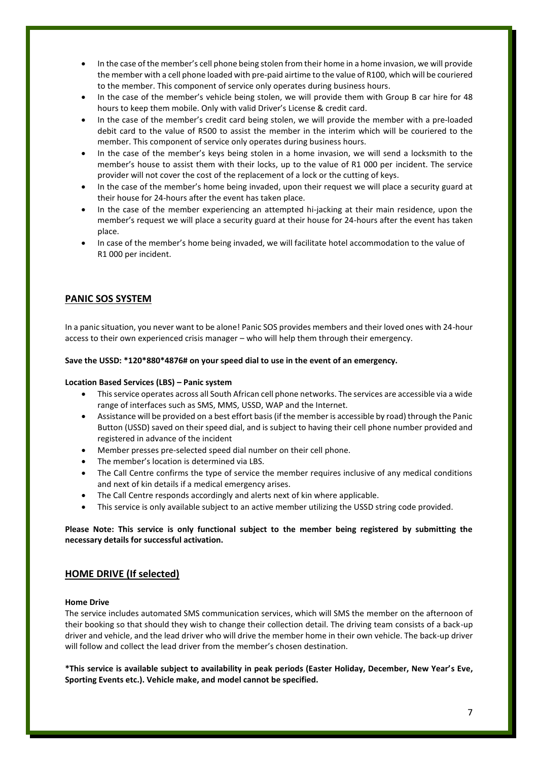- In the case of the member's cell phone being stolen from their home in a home invasion, we will provide the member with a cell phone loaded with pre-paid airtime to the value of R100, which will be couriered to the member. This component of service only operates during business hours.
- In the case of the member's vehicle being stolen, we will provide them with Group B car hire for 48 hours to keep them mobile. Only with valid Driver's License & credit card.
- In the case of the member's credit card being stolen, we will provide the member with a pre-loaded debit card to the value of R500 to assist the member in the interim which will be couriered to the member. This component of service only operates during business hours.
- In the case of the member's keys being stolen in a home invasion, we will send a locksmith to the member's house to assist them with their locks, up to the value of R1 000 per incident. The service provider will not cover the cost of the replacement of a lock or the cutting of keys.
- In the case of the member's home being invaded, upon their request we will place a security guard at their house for 24-hours after the event has taken place.
- In the case of the member experiencing an attempted hi-jacking at their main residence, upon the member's request we will place a security guard at their house for 24-hours after the event has taken place.
- In case of the member's home being invaded, we will facilitate hotel accommodation to the value of R1 000 per incident.

# **PANIC SOS SYSTEM**

In a panic situation, you never want to be alone! Panic SOS provides members and their loved ones with 24-hour access to their own experienced crisis manager – who will help them through their emergency.

### **Save the USSD: \*120\*880\*4876# on your speed dial to use in the event of an emergency.**

### **Location Based Services (LBS) – Panic system**

- This service operates across all South African cell phone networks. The services are accessible via a wide range of interfaces such as SMS, MMS, USSD, WAP and the Internet.
- Assistance will be provided on a best effort basis (if the member is accessible by road) through the Panic Button (USSD) saved on their speed dial, and is subject to having their cell phone number provided and registered in advance of the incident
- Member presses pre-selected speed dial number on their cell phone.
- The member's location is determined via LBS.
- The Call Centre confirms the type of service the member requires inclusive of any medical conditions and next of kin details if a medical emergency arises.
- The Call Centre responds accordingly and alerts next of kin where applicable.
- This service is only available subject to an active member utilizing the USSD string code provided.

## **Please Note: This service is only functional subject to the member being registered by submitting the necessary details for successful activation.**

## **HOME DRIVE (If selected)**

#### **Home Drive**

The service includes automated SMS communication services, which will SMS the member on the afternoon of their booking so that should they wish to change their collection detail. The driving team consists of a back-up driver and vehicle, and the lead driver who will drive the member home in their own vehicle. The back-up driver will follow and collect the lead driver from the member's chosen destination.

**\*This service is available subject to availability in peak periods (Easter Holiday, December, New Year's Eve, Sporting Events etc.). Vehicle make, and model cannot be specified.**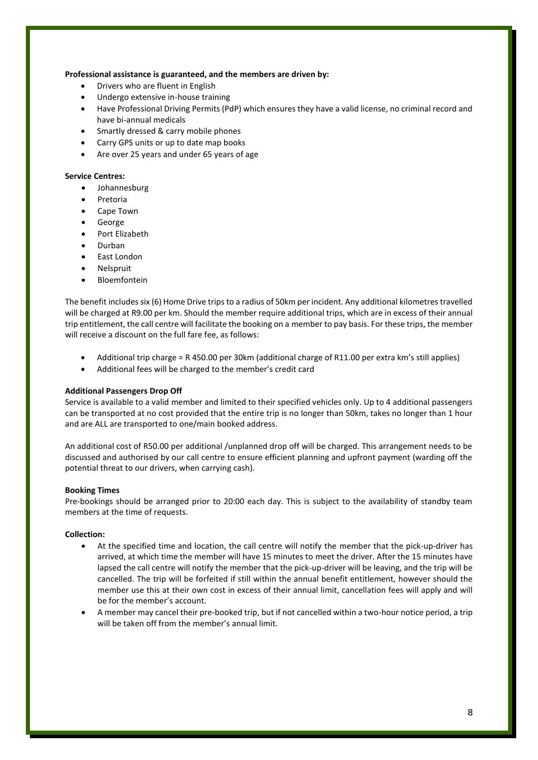### **Professional assistance is guaranteed, and the members are driven by:**

- Drivers who are fluent in English
- Undergo extensive in-house training
- Have Professional Driving Permits (PdP) which ensures they have a valid license, no criminal record and have bi-annual medicals
- Smartly dressed & carry mobile phones
- Carry GPS units or up to date map books
- Are over 25 years and under 65 years of age

#### **Service Centres:**

- Johannesburg
- Pretoria
- Cape Town
- **George**
- Port Elizabeth
- Durban
- East London
- **Nelspruit**
- **Bloemfontein**

The benefit includes six (6) Home Drive trips to a radius of 50km per incident. Any additional kilometres travelled will be charged at R9.00 per km. Should the member require additional trips, which are in excess of their annual trip entitlement, the call centre will facilitate the booking on a member to pay basis. For these trips, the member will receive a discount on the full fare fee, as follows:

- Additional trip charge = R 450.00 per 30km (additional charge of R11.00 per extra km's still applies)
- Additional fees will be charged to the member's credit card

#### **Additional Passengers Drop Off**

Service is available to a valid member and limited to their specified vehicles only. Up to 4 additional passengers can be transported at no cost provided that the entire trip is no longer than 50km, takes no longer than 1 hour and are ALL are transported to one/main booked address.

An additional cost of R50.00 per additional /unplanned drop off will be charged. This arrangement needs to be discussed and authorised by our call centre to ensure efficient planning and upfront payment (warding off the potential threat to our drivers, when carrying cash).

#### **Booking Times**

Pre-bookings should be arranged prior to 20:00 each day. This is subject to the availability of standby team members at the time of requests.

#### **Collection:**

- At the specified time and location, the call centre will notify the member that the pick-up-driver has arrived, at which time the member will have 15 minutes to meet the driver. After the 15 minutes have lapsed the call centre will notify the member that the pick-up-driver will be leaving, and the trip will be cancelled. The trip will be forfeited if still within the annual benefit entitlement, however should the member use this at their own cost in excess of their annual limit, cancellation fees will apply and will be for the member's account.
- A member may cancel their pre-booked trip, but if not cancelled within a two-hour notice period, a trip will be taken off from the member's annual limit.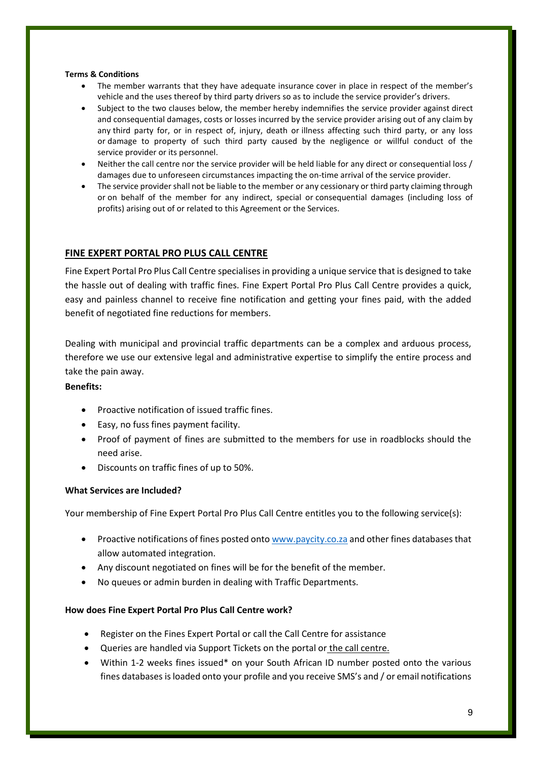## **Terms & Conditions**

- The member warrants that they have adequate insurance cover in place in respect of the member's vehicle and the uses thereof by third party drivers so as to include the service provider's drivers.
- Subject to the two clauses below, the member hereby indemnifies the service provider against direct and consequential damages, costs or losses incurred by the service provider arising out of any claim by any third party for, or in respect of, injury, death or illness affecting such third party, or any loss or damage to property of such third party caused by the negligence or willful conduct of the service provider or its personnel.
- Neither the call centre nor the service provider will be held liable for any direct or consequential loss / damages due to unforeseen circumstances impacting the on-time arrival of the service provider.
- The service provider shall not be liable to the member or any cessionary or third party claiming through or on behalf of the member for any indirect, special or consequential damages (including loss of profits) arising out of or related to this Agreement or the Services.

## **FINE EXPERT PORTAL PRO PLUS CALL CENTRE**

Fine Expert Portal Pro Plus Call Centre specialises in providing a unique service that is designed to take the hassle out of dealing with traffic fines. Fine Expert Portal Pro Plus Call Centre provides a quick, easy and painless channel to receive fine notification and getting your fines paid, with the added benefit of negotiated fine reductions for members.

Dealing with municipal and provincial traffic departments can be a complex and arduous process, therefore we use our extensive legal and administrative expertise to simplify the entire process and take the pain away.

### **Benefits:**

- Proactive notification of issued traffic fines.
- Easy, no fuss fines payment facility.
- Proof of payment of fines are submitted to the members for use in roadblocks should the need arise.
- Discounts on traffic fines of up to 50%.

### **What Services are Included?**

Your membership of Fine Expert Portal Pro Plus Call Centre entitles you to the following service(s):

- Proactive notifications of fines posted onto [www.paycity.co.za](http://www.paycity.co.za/) and other fines databases that allow automated integration.
- Any discount negotiated on fines will be for the benefit of the member.
- No queues or admin burden in dealing with Traffic Departments.

## **How does Fine Expert Portal Pro Plus Call Centre work?**

- Register on the Fines Expert Portal or call the Call Centre for assistance
- Queries are handled via Support Tickets on the portal or the call centre.
- Within 1-2 weeks fines issued\* on your South African ID number posted onto the various fines databases is loaded onto your profile and you receive SMS's and / or email notifications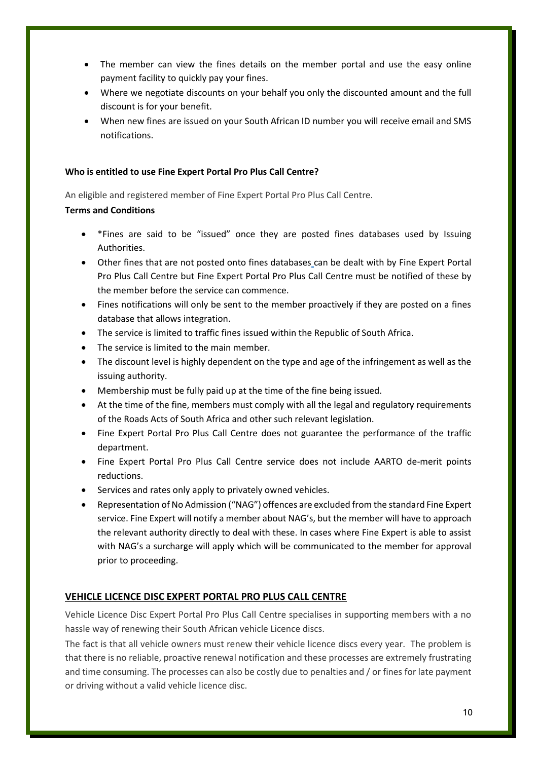- The member can view the fines details on the member portal and use the easy online payment facility to quickly pay your fines.
- Where we negotiate discounts on your behalf you only the discounted amount and the full discount is for your benefit.
- When new fines are issued on your South African ID number you will receive email and SMS notifications.

## **Who is entitled to use Fine Expert Portal Pro Plus Call Centre?**

An eligible and registered member of Fine Expert Portal Pro Plus Call Centre.

## **Terms and Conditions**

- \*Fines are said to be "issued" once they are posted fines databases used by Issuing Authorities.
- Other fines that are not posted onto fines databases [c](http://www.mpfine.co.za/)an be dealt with by Fine Expert Portal Pro Plus Call Centre but Fine Expert Portal Pro Plus Call Centre must be notified of these by the member before the service can commence.
- Fines notifications will only be sent to the member proactively if they are posted on a fines database that allows integration.
- The service is limited to traffic fines issued within the Republic of South Africa.
- The service is limited to the main member.
- The discount level is highly dependent on the type and age of the infringement as well as the issuing authority.
- Membership must be fully paid up at the time of the fine being issued.
- At the time of the fine, members must comply with all the legal and regulatory requirements of the Roads Acts of South Africa and other such relevant legislation.
- Fine Expert Portal Pro Plus Call Centre does not guarantee the performance of the traffic department.
- Fine Expert Portal Pro Plus Call Centre service does not include AARTO de-merit points reductions.
- Services and rates only apply to privately owned vehicles.
- Representation of No Admission ("NAG") offences are excluded from the standard Fine Expert service. Fine Expert will notify a member about NAG's, but the member will have to approach the relevant authority directly to deal with these. In cases where Fine Expert is able to assist with NAG's a surcharge will apply which will be communicated to the member for approval prior to proceeding.

## **VEHICLE LICENCE DISC EXPERT PORTAL PRO PLUS CALL CENTRE**

Vehicle Licence Disc Expert Portal Pro Plus Call Centre specialises in supporting members with a no hassle way of renewing their South African vehicle Licence discs.

The fact is that all vehicle owners must renew their vehicle licence discs every year. The problem is that there is no reliable, proactive renewal notification and these processes are extremely frustrating and time consuming. The processes can also be costly due to penalties and / or fines for late payment or driving without a valid vehicle licence disc.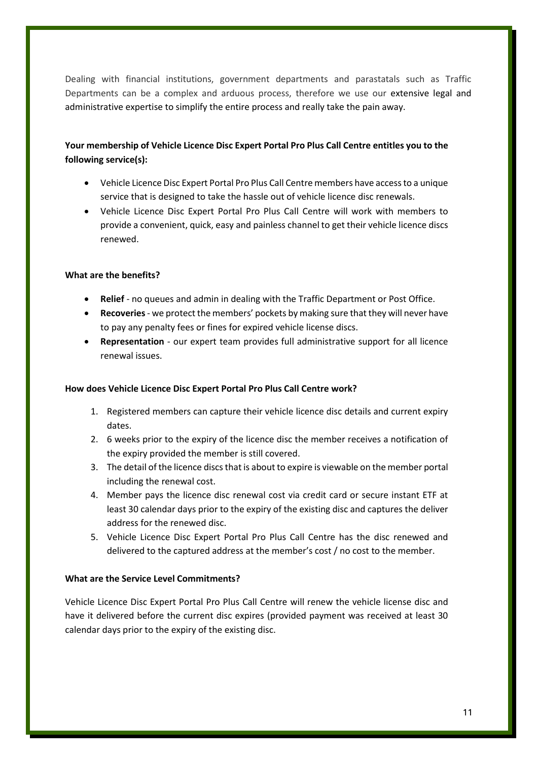Dealing with financial institutions, government departments and parastatals such as Traffic Departments can be a complex and arduous process, therefore we use our extensive legal and administrative expertise to simplify the entire process and really take the pain away.

# **Your membership of Vehicle Licence Disc Expert Portal Pro Plus Call Centre entitles you to the following service(s):**

- Vehicle Licence Disc Expert Portal Pro Plus Call Centre members have access to a unique service that is designed to take the hassle out of vehicle licence disc renewals.
- Vehicle Licence Disc Expert Portal Pro Plus Call Centre will work with members to provide a convenient, quick, easy and painless channel to get their vehicle licence discs renewed.

## **What are the benefits?**

- **Relief** no queues and admin in dealing with the Traffic Department or Post Office.
- **Recoveries** we protect the members' pockets by making sure that they will never have to pay any penalty fees or fines for expired vehicle license discs.
- **Representation** our expert team provides full administrative support for all licence renewal issues.

### **How does Vehicle Licence Disc Expert Portal Pro Plus Call Centre work?**

- 1. Registered members can capture their vehicle licence disc details and current expiry dates.
- 2. 6 weeks prior to the expiry of the licence disc the member receives a notification of the expiry provided the member is still covered.
- 3. The detail of the licence discs that is about to expire is viewable on the member portal including the renewal cost.
- 4. Member pays the licence disc renewal cost via credit card or secure instant ETF at least 30 calendar days prior to the expiry of the existing disc and captures the deliver address for the renewed disc.
- 5. Vehicle Licence Disc Expert Portal Pro Plus Call Centre has the disc renewed and delivered to the captured address at the member's cost / no cost to the member.

## **What are the Service Level Commitments?**

Vehicle Licence Disc Expert Portal Pro Plus Call Centre will renew the vehicle license disc and have it delivered before the current disc expires (provided payment was received at least 30 calendar days prior to the expiry of the existing disc.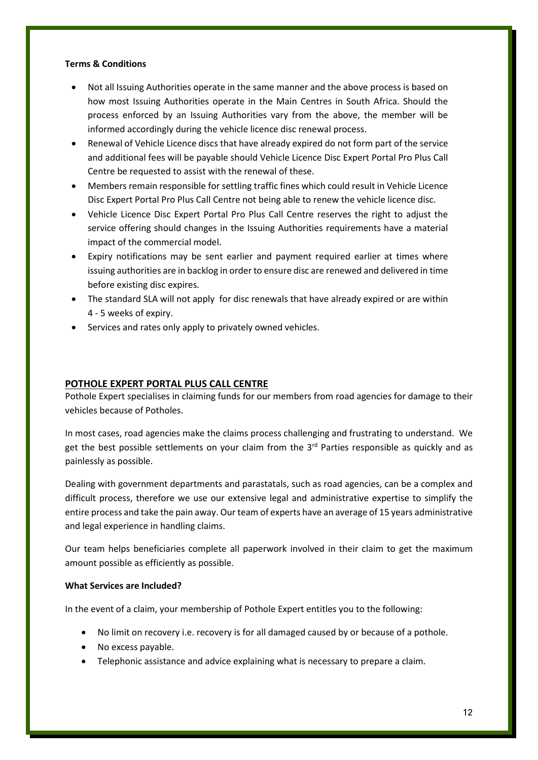## **Terms & Conditions**

- Not all Issuing Authorities operate in the same manner and the above process is based on how most Issuing Authorities operate in the Main Centres in South Africa. Should the process enforced by an Issuing Authorities vary from the above, the member will be informed accordingly during the vehicle licence disc renewal process.
- Renewal of Vehicle Licence discs that have already expired do not form part of the service and additional fees will be payable should Vehicle Licence Disc Expert Portal Pro Plus Call Centre be requested to assist with the renewal of these.
- Members remain responsible for settling traffic fines which could result in Vehicle Licence Disc Expert Portal Pro Plus Call Centre not being able to renew the vehicle licence disc.
- Vehicle Licence Disc Expert Portal Pro Plus Call Centre reserves the right to adjust the service offering should changes in the Issuing Authorities requirements have a material impact of the commercial model.
- Expiry notifications may be sent earlier and payment required earlier at times where issuing authorities are in backlog in order to ensure disc are renewed and delivered in time before existing disc expires.
- The standard SLA will not apply for disc renewals that have already expired or are within 4 - 5 weeks of expiry.
- Services and rates only apply to privately owned vehicles.

## **POTHOLE EXPERT PORTAL PLUS CALL CENTRE**

Pothole Expert specialises in claiming funds for our members from road agencies for damage to their vehicles because of Potholes.

In most cases, road agencies make the claims process challenging and frustrating to understand. We get the best possible settlements on your claim from the  $3<sup>rd</sup>$  Parties responsible as quickly and as painlessly as possible.

Dealing with government departments and parastatals, such as road agencies, can be a complex and difficult process, therefore we use our extensive legal and administrative expertise to simplify the entire process and take the pain away. Our team of experts have an average of 15 years administrative and legal experience in handling claims.

Our team helps beneficiaries complete all paperwork involved in their claim to get the maximum amount possible as efficiently as possible.

## **What Services are Included?**

In the event of a claim, your membership of Pothole Expert entitles you to the following:

- No limit on recovery i.e. recovery is for all damaged caused by or because of a pothole.
- No excess payable.
- Telephonic assistance and advice explaining what is necessary to prepare a claim.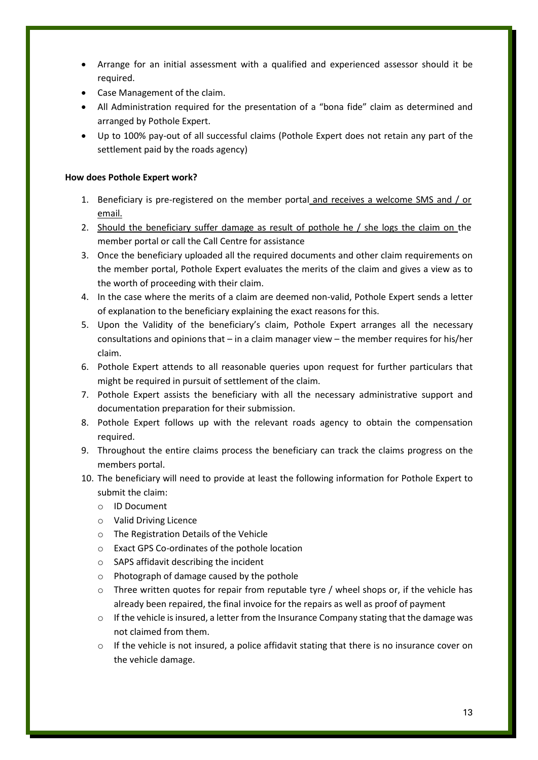- Arrange for an initial assessment with a qualified and experienced assessor should it be required.
- Case Management of the claim.
- All Administration required for the presentation of a "bona fide" claim as determined and arranged by Pothole Expert.
- Up to 100% pay-out of all successful claims (Pothole Expert does not retain any part of the settlement paid by the roads agency)

## **How does Pothole Expert work?**

- 1. Beneficiary is pre-registered on the member portal and receives a welcome SMS and / or email.
- 2. Should the beneficiary suffer damage as result of pothole he / she logs the claim on the member portal or call the Call Centre for assistance
- 3. Once the beneficiary uploaded all the required documents and other claim requirements on the member portal, Pothole Expert evaluates the merits of the claim and gives a view as to the worth of proceeding with their claim.
- 4. In the case where the merits of a claim are deemed non-valid, Pothole Expert sends a letter of explanation to the beneficiary explaining the exact reasons for this.
- 5. Upon the Validity of the beneficiary's claim, Pothole Expert arranges all the necessary consultations and opinions that – in a claim manager view – the member requires for his/her claim.
- 6. Pothole Expert attends to all reasonable queries upon request for further particulars that might be required in pursuit of settlement of the claim.
- 7. Pothole Expert assists the beneficiary with all the necessary administrative support and documentation preparation for their submission.
- 8. Pothole Expert follows up with the relevant roads agency to obtain the compensation required.
- 9. Throughout the entire claims process the beneficiary can track the claims progress on the members portal.
- 10. The beneficiary will need to provide at least the following information for Pothole Expert to submit the claim:
	- o ID Document
	- o Valid Driving Licence
	- o The Registration Details of the Vehicle
	- o Exact GPS Co-ordinates of the pothole location
	- o SAPS affidavit describing the incident
	- o Photograph of damage caused by the pothole
	- $\circ$  Three written quotes for repair from reputable tyre / wheel shops or, if the vehicle has already been repaired, the final invoice for the repairs as well as proof of payment
	- $\circ$  If the vehicle is insured, a letter from the Insurance Company stating that the damage was not claimed from them.
	- $\circ$  If the vehicle is not insured, a police affidavit stating that there is no insurance cover on the vehicle damage.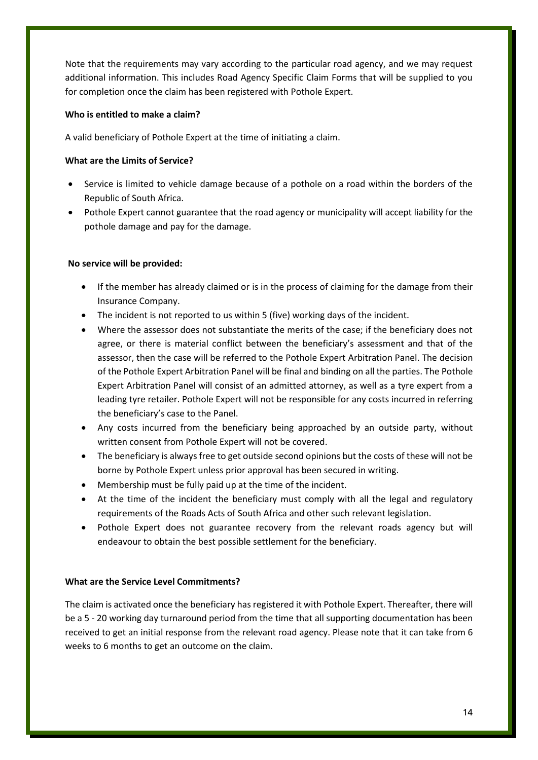Note that the requirements may vary according to the particular road agency, and we may request additional information. This includes Road Agency Specific Claim Forms that will be supplied to you for completion once the claim has been registered with Pothole Expert.

## **Who is entitled to make a claim?**

A valid beneficiary of Pothole Expert at the time of initiating a claim.

## **What are the Limits of Service?**

- Service is limited to vehicle damage because of a pothole on a road within the borders of the Republic of South Africa.
- Pothole Expert cannot guarantee that the road agency or municipality will accept liability for the pothole damage and pay for the damage.

## **No service will be provided:**

- If the member has already claimed or is in the process of claiming for the damage from their Insurance Company.
- The incident is not reported to us within 5 (five) working days of the incident.
- Where the assessor does not substantiate the merits of the case; if the beneficiary does not agree, or there is material conflict between the beneficiary's assessment and that of the assessor, then the case will be referred to the Pothole Expert Arbitration Panel. The decision of the Pothole Expert Arbitration Panel will be final and binding on all the parties. The Pothole Expert Arbitration Panel will consist of an admitted attorney, as well as a tyre expert from a leading tyre retailer. Pothole Expert will not be responsible for any costs incurred in referring the beneficiary's case to the Panel.
- Any costs incurred from the beneficiary being approached by an outside party, without written consent from Pothole Expert will not be covered.
- The beneficiary is always free to get outside second opinions but the costs of these will not be borne by Pothole Expert unless prior approval has been secured in writing.
- Membership must be fully paid up at the time of the incident.
- At the time of the incident the beneficiary must comply with all the legal and regulatory requirements of the Roads Acts of South Africa and other such relevant legislation.
- Pothole Expert does not guarantee recovery from the relevant roads agency but will endeavour to obtain the best possible settlement for the beneficiary.

# **What are the Service Level Commitments?**

The claim is activated once the beneficiary has registered it with Pothole Expert. Thereafter, there will be a 5 - 20 working day turnaround period from the time that all supporting documentation has been received to get an initial response from the relevant road agency. Please note that it can take from 6 weeks to 6 months to get an outcome on the claim.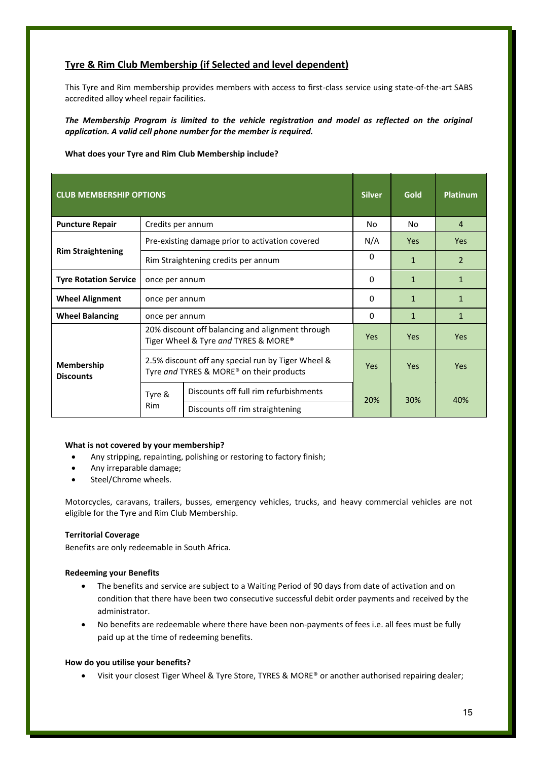# **Tyre & Rim Club Membership (if Selected and level dependent)**

This Tyre and Rim membership provides members with access to first-class service using state-of-the-art SABS accredited alloy wheel repair facilities.

*The Membership Program is limited to the vehicle registration and model as reflected on the original application. A valid cell phone number for the member is required.* 

### **What does your Tyre and Rim Club Membership include?**

| <b>CLUB MEMBERSHIP OPTIONS</b>        |                                                                                                            |                                       | <b>Silver</b> | Gold         | Platinum       |
|---------------------------------------|------------------------------------------------------------------------------------------------------------|---------------------------------------|---------------|--------------|----------------|
| <b>Puncture Repair</b>                | Credits per annum                                                                                          |                                       | No            | No           | $\overline{4}$ |
| <b>Rim Straightening</b>              | Pre-existing damage prior to activation covered                                                            |                                       | N/A           | Yes          | Yes            |
|                                       | Rim Straightening credits per annum                                                                        |                                       | 0             | 1            | $\overline{2}$ |
| <b>Tyre Rotation Service</b>          | once per annum                                                                                             |                                       | 0             | $\mathbf{1}$ | $\mathbf{1}$   |
| <b>Wheel Alignment</b>                | once per annum                                                                                             |                                       | 0             | $\mathbf{1}$ | $\mathbf{1}$   |
| <b>Wheel Balancing</b>                | once per annum                                                                                             |                                       | 0             | $\mathbf{1}$ | $\mathbf{1}$   |
| <b>Membership</b><br><b>Discounts</b> | 20% discount off balancing and alignment through<br>Tiger Wheel & Tyre and TYRES & MORE®                   |                                       | <b>Yes</b>    | Yes          | Yes            |
|                                       | 2.5% discount off any special run by Tiger Wheel &<br>Tyre and TYRES & MORE <sup>®</sup> on their products |                                       | <b>Yes</b>    | Yes          | Yes            |
|                                       | Tyre &<br>Rim                                                                                              | Discounts off full rim refurbishments | 20%           | 30%          | 40%            |
|                                       |                                                                                                            | Discounts off rim straightening       |               |              |                |

### **What is not covered by your membership?**

- Any stripping, repainting, polishing or restoring to factory finish;
- Any irreparable damage;
- Steel/Chrome wheels.

Motorcycles, caravans, trailers, busses, emergency vehicles, trucks, and heavy commercial vehicles are not eligible for the Tyre and Rim Club Membership.

### **Territorial Coverage**

Benefits are only redeemable in South Africa.

#### **Redeeming your Benefits**

- The benefits and service are subject to a Waiting Period of 90 days from date of activation and on condition that there have been two consecutive successful debit order payments and received by the administrator.
- No benefits are redeemable where there have been non-payments of fees i.e. all fees must be fully paid up at the time of redeeming benefits.

### **How do you utilise your benefits?**

• Visit your closest Tiger Wheel & Tyre Store, TYRES & MORE® or another authorised repairing dealer;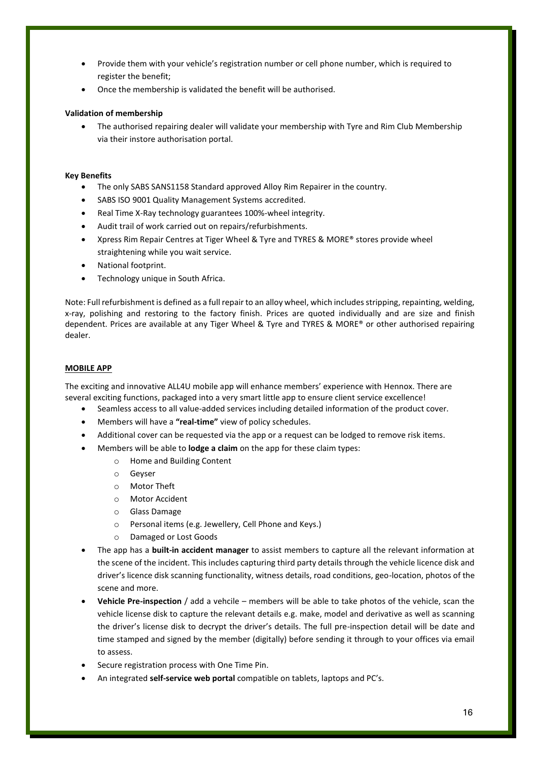- Provide them with your vehicle's registration number or cell phone number, which is required to register the benefit;
- Once the membership is validated the benefit will be authorised.

### **Validation of membership**

• The authorised repairing dealer will validate your membership with Tyre and Rim Club Membership via their instore authorisation portal.

### **Key Benefits**

- The only SABS SANS1158 Standard approved Alloy Rim Repairer in the country.
- SABS ISO 9001 Quality Management Systems accredited.
- Real Time X-Ray technology guarantees 100%-wheel integrity.
- Audit trail of work carried out on repairs/refurbishments.
- Xpress Rim Repair Centres at Tiger Wheel & Tyre and TYRES & MORE® stores provide wheel straightening while you wait service.
- National footprint.
- Technology unique in South Africa.

Note: Full refurbishment is defined as a full repair to an alloy wheel, which includes stripping, repainting, welding, x-ray, polishing and restoring to the factory finish. Prices are quoted individually and are size and finish dependent. Prices are available at any Tiger Wheel & Tyre and TYRES & MORE® or other authorised repairing dealer.

### **MOBILE APP**

The exciting and innovative ALL4U mobile app will enhance members' experience with Hennox. There are several exciting functions, packaged into a very smart little app to ensure client service excellence!

- Seamless access to all value-added services including detailed information of the product cover.
- Members will have a **"real-time"** view of policy schedules.
- Additional cover can be requested via the app or a request can be lodged to remove risk items.
- Members will be able to **lodge a claim** on the app for these claim types:
	- o Home and Building Content
	- o Geyser
	- o Motor Theft
	- o Motor Accident
	- o Glass Damage
	- o Personal items (e.g. Jewellery, Cell Phone and Keys.)
	- o Damaged or Lost Goods
- The app has a **built-in accident manager** to assist members to capture all the relevant information at the scene of the incident. This includes capturing third party details through the vehicle licence disk and driver's licence disk scanning functionality, witness details, road conditions, geo-location, photos of the scene and more.
- **Vehicle Pre-inspection** / add a vehcile members will be able to take photos of the vehicle, scan the vehicle license disk to capture the relevant details e.g. make, model and derivative as well as scanning the driver's license disk to decrypt the driver's details. The full pre-inspection detail will be date and time stamped and signed by the member (digitally) before sending it through to your offices via email to assess.
- Secure registration process with One Time Pin.
- An integrated **self-service web portal** compatible on tablets, laptops and PC's.